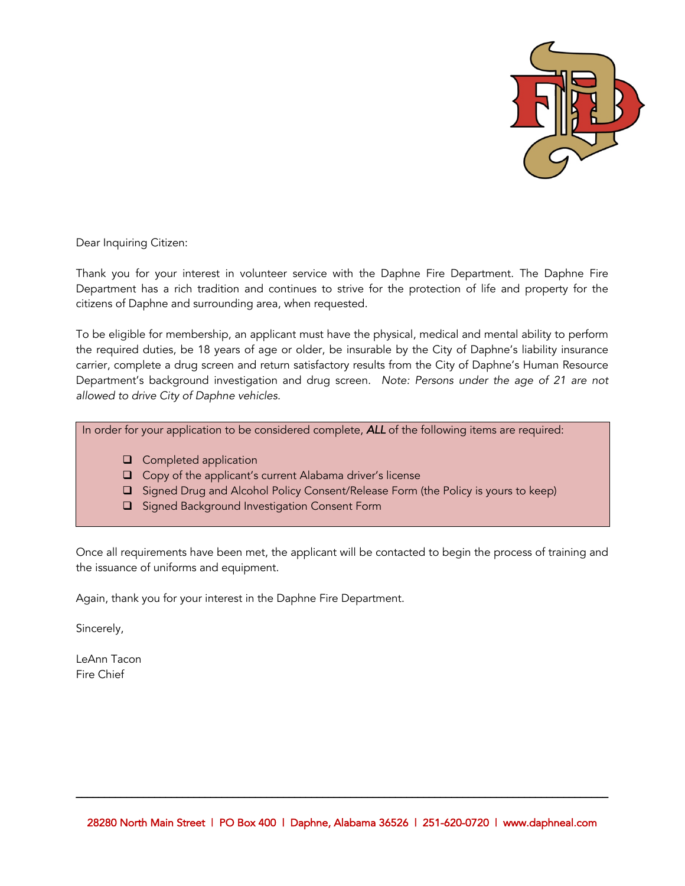

Dear Inquiring Citizen:

Thank you for your interest in volunteer service with the Daphne Fire Department. The Daphne Fire Department has a rich tradition and continues to strive for the protection of life and property for the citizens of Daphne and surrounding area, when requested.

To be eligible for membership, an applicant must have the physical, medical and mental ability to perform the required duties, be 18 years of age or older, be insurable by the City of Daphne's liability insurance carrier, complete a drug screen and return satisfactory results from the City of Daphne's Human Resource Department's background investigation and drug screen. *Note: Persons under the age of 21 are not allowed to drive City of Daphne vehicles.*

#### In order for your application to be considered complete, *ALL* of the following items are required:

- $\Box$  Completed application
- $\Box$  Copy of the applicant's current Alabama driver's license
- □ Signed Drug and Alcohol Policy Consent/Release Form (the Policy is yours to keep)
- □ Signed Background Investigation Consent Form

Once all requirements have been met, the applicant will be contacted to begin the process of training and the issuance of uniforms and equipment.

Again, thank you for your interest in the Daphne Fire Department.

Sincerely,

LeAnn Tacon Fire Chief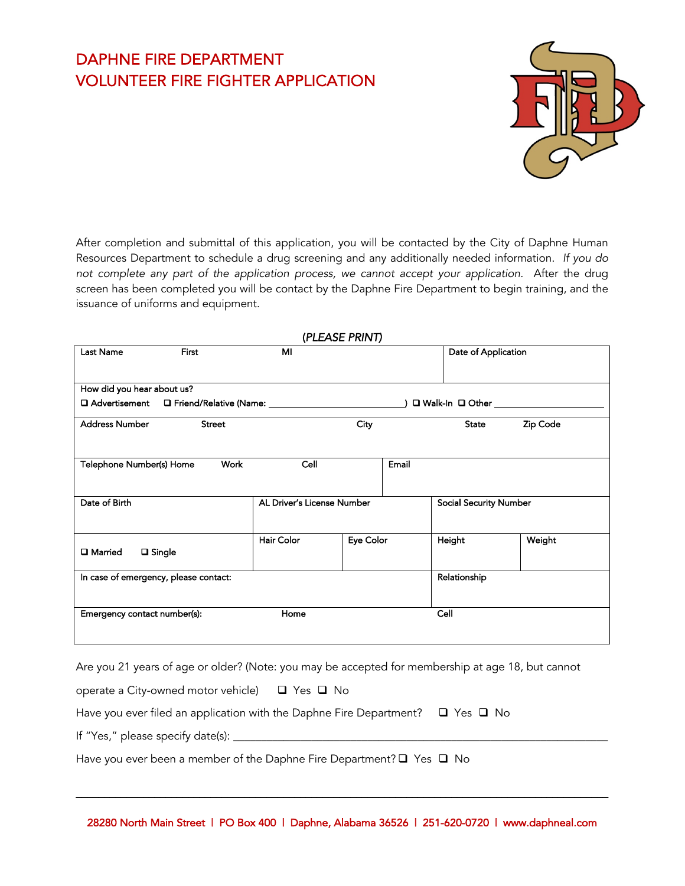# DAPHNE FIRE DEPARTMENT VOLUNTEER FIRE FIGHTER APPLICATION



After completion and submittal of this application, you will be contacted by the City of Daphne Human Resources Department to schedule a drug screening and any additionally needed information. *If you do not complete any part of the application process, we cannot accept your application.* After the drug screen has been completed you will be contact by the Daphne Fire Department to begin training, and the issuance of uniforms and equipment.

|                                       |              |                            | (PLEASE PRINT) |       |                               |          |  |
|---------------------------------------|--------------|----------------------------|----------------|-------|-------------------------------|----------|--|
| Last Name                             | <b>First</b> | MI                         |                |       | Date of Application           |          |  |
| How did you hear about us?            |              |                            |                |       |                               |          |  |
|                                       |              |                            |                |       |                               |          |  |
| <b>Address Number</b>                 | Street       |                            | City           |       | State                         | Zip Code |  |
| Telephone Number(s) Home              | Work         | Cell                       |                | Email |                               |          |  |
| Date of Birth                         |              | AL Driver's License Number |                |       | <b>Social Security Number</b> |          |  |
| <b>□</b> Single<br><b>□</b> Married   |              | <b>Hair Color</b>          | Eye Color      |       | Height                        | Weight   |  |
| In case of emergency, please contact: |              |                            |                |       | Relationship                  |          |  |
| Emergency contact number(s):          |              | Home                       |                |       | Cell                          |          |  |
|                                       |              |                            |                |       |                               |          |  |

Are you 21 years of age or older? (Note: you may be accepted for membership at age 18, but cannot

operate a City-owned motor vehicle)  $\Box$  Yes  $\Box$  No

| Have you ever filed an application with the Daphne Fire Department? $\Box$ Yes $\Box$ No |  |  |
|------------------------------------------------------------------------------------------|--|--|
|------------------------------------------------------------------------------------------|--|--|

If "Yes," please specify date(s): \_\_\_\_\_\_\_\_\_\_\_\_\_\_\_\_\_\_\_\_\_\_\_\_\_\_\_\_\_\_\_\_\_\_\_\_\_\_\_\_\_\_\_\_\_\_\_\_\_\_\_\_\_\_\_\_\_\_\_\_\_\_\_\_\_\_\_

Have you ever been a member of the Daphne Fire Department?  $\Box$  Yes  $\Box$  No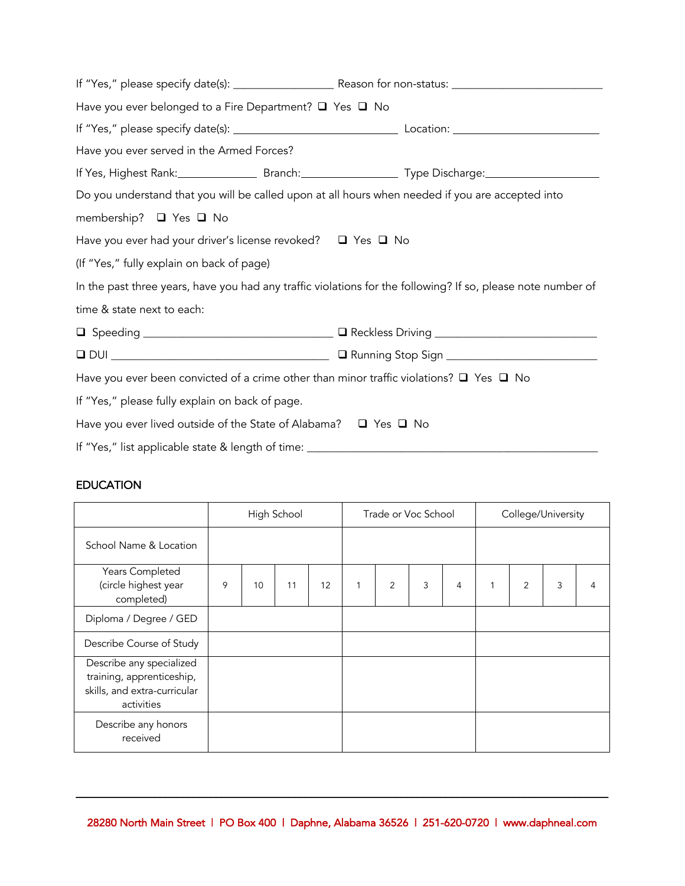| Have you ever belonged to a Fire Department? $\Box$ Yes $\Box$ No                                 |                                                                                                              |  |  |  |  |
|---------------------------------------------------------------------------------------------------|--------------------------------------------------------------------------------------------------------------|--|--|--|--|
|                                                                                                   |                                                                                                              |  |  |  |  |
| Have you ever served in the Armed Forces?                                                         |                                                                                                              |  |  |  |  |
|                                                                                                   | If Yes, Highest Rank: Branch: Branch: Type Discharge: Manuscription of the Standard Branch Standard Branch.  |  |  |  |  |
| Do you understand that you will be called upon at all hours when needed if you are accepted into  |                                                                                                              |  |  |  |  |
| membership? ■ Yes ■ No                                                                            |                                                                                                              |  |  |  |  |
| Have you ever had your driver's license revoked? $\Box$ Yes $\Box$ No                             |                                                                                                              |  |  |  |  |
| (If "Yes," fully explain on back of page)                                                         |                                                                                                              |  |  |  |  |
|                                                                                                   | In the past three years, have you had any traffic violations for the following? If so, please note number of |  |  |  |  |
| time & state next to each:                                                                        |                                                                                                              |  |  |  |  |
|                                                                                                   |                                                                                                              |  |  |  |  |
|                                                                                                   |                                                                                                              |  |  |  |  |
| Have you ever been convicted of a crime other than minor traffic violations? $\Box$ Yes $\Box$ No |                                                                                                              |  |  |  |  |
| If "Yes," please fully explain on back of page.                                                   |                                                                                                              |  |  |  |  |
| Have you ever lived outside of the State of Alabama? $\Box$ Yes $\Box$ No                         |                                                                                                              |  |  |  |  |
| If "Yes," list applicable state & length of time: ______________________________                  |                                                                                                              |  |  |  |  |

### EDUCATION

|                                                                                                     |   |    | High School |    |   | Trade or Voc School |   |   |   |   | College/University |  |
|-----------------------------------------------------------------------------------------------------|---|----|-------------|----|---|---------------------|---|---|---|---|--------------------|--|
| School Name & Location                                                                              |   |    |             |    |   |                     |   |   |   |   |                    |  |
| Years Completed<br>(circle highest year<br>completed)                                               | 9 | 10 | 11          | 12 | 1 | $\overline{2}$      | 3 | 4 | 1 | 2 | 3                  |  |
| Diploma / Degree / GED                                                                              |   |    |             |    |   |                     |   |   |   |   |                    |  |
| Describe Course of Study                                                                            |   |    |             |    |   |                     |   |   |   |   |                    |  |
| Describe any specialized<br>training, apprenticeship,<br>skills, and extra-curricular<br>activities |   |    |             |    |   |                     |   |   |   |   |                    |  |
| Describe any honors<br>received                                                                     |   |    |             |    |   |                     |   |   |   |   |                    |  |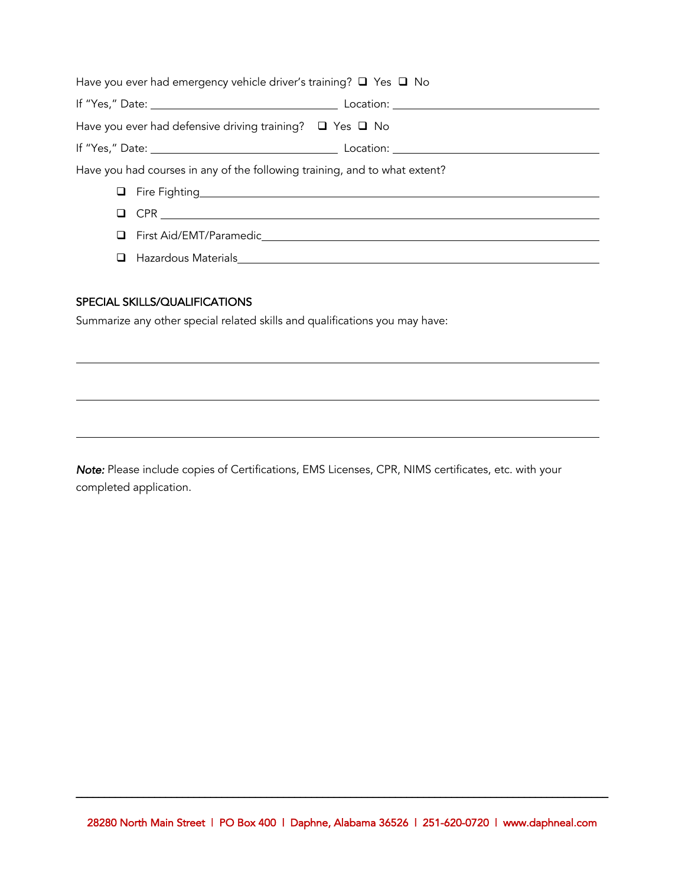| Have you ever had emergency vehicle driver's training? $\Box$ Yes $\Box$ No |  |
|-----------------------------------------------------------------------------|--|
|                                                                             |  |
| Have you ever had defensive driving training? $\Box$ Yes $\Box$ No          |  |
|                                                                             |  |
| Have you had courses in any of the following training, and to what extent?  |  |
| The Fighting <b>Example 2018</b> Fire Fighting                              |  |
| $\Box$ CPR $\Box$                                                           |  |
|                                                                             |  |
| Hazardous Materials<br>The Hazardous Materials                              |  |

#### SPECIAL SKILLS/QUALIFICATIONS

Summarize any other special related skills and qualifications you may have:

*Note:* Please include copies of Certifications, EMS Licenses, CPR, NIMS certificates, etc. with your completed application.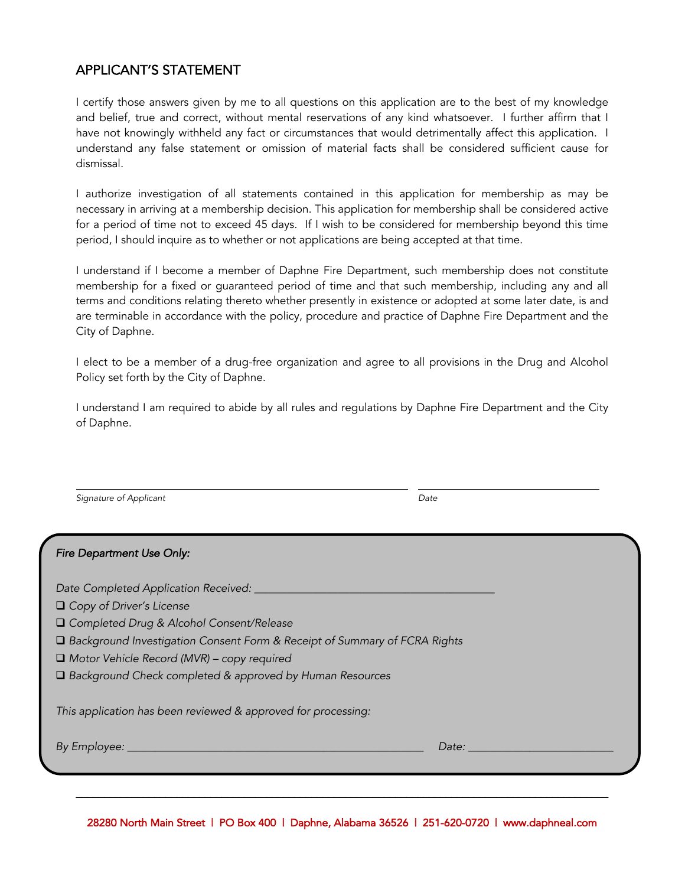### APPLICANT'S STATEMENT

I certify those answers given by me to all questions on this application are to the best of my knowledge and belief, true and correct, without mental reservations of any kind whatsoever. I further affirm that I have not knowingly withheld any fact or circumstances that would detrimentally affect this application. I understand any false statement or omission of material facts shall be considered sufficient cause for dismissal.

I authorize investigation of all statements contained in this application for membership as may be necessary in arriving at a membership decision. This application for membership shall be considered active for a period of time not to exceed 45 days. If I wish to be considered for membership beyond this time period, I should inquire as to whether or not applications are being accepted at that time.

I understand if I become a member of Daphne Fire Department, such membership does not constitute membership for a fixed or guaranteed period of time and that such membership, including any and all terms and conditions relating thereto whether presently in existence or adopted at some later date, is and are terminable in accordance with the policy, procedure and practice of Daphne Fire Department and the City of Daphne.

I elect to be a member of a drug-free organization and agree to all provisions in the Drug and Alcohol Policy set forth by the City of Daphne.

I understand I am required to abide by all rules and regulations by Daphne Fire Department and the City of Daphne.

**Signature of Applicant** Date Date Date Date

 $\overline{a}$ 

| Date: |                                                                             |
|-------|-----------------------------------------------------------------------------|
|       | □ Background Investigation Consent Form & Receipt of Summary of FCRA Rights |

28280 North Main Street | PO Box 400 | Daphne, Alabama 36526 | 251-620-0720 | www.daphneal.com